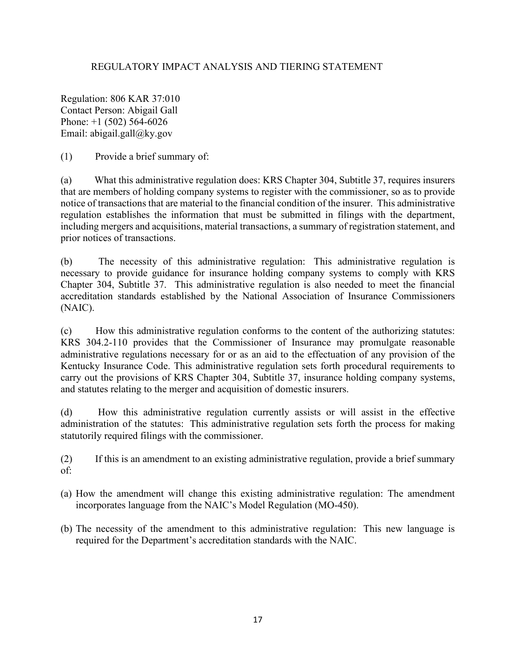## REGULATORY IMPACT ANALYSIS AND TIERING STATEMENT

Regulation: 806 KAR 37:010 Contact Person: Abigail Gall Phone: +1 (502) 564-6026 Email: abigail.gall@ky.gov

(1) Provide a brief summary of:

(a) What this administrative regulation does: KRS Chapter 304, Subtitle 37, requires insurers that are members of holding company systems to register with the commissioner, so as to provide notice of transactions that are material to the financial condition of the insurer. This administrative regulation establishes the information that must be submitted in filings with the department, including mergers and acquisitions, material transactions, a summary of registration statement, and prior notices of transactions.

(b) The necessity of this administrative regulation: This administrative regulation is necessary to provide guidance for insurance holding company systems to comply with KRS Chapter 304, Subtitle 37. This administrative regulation is also needed to meet the financial accreditation standards established by the National Association of Insurance Commissioners (NAIC).

(c) How this administrative regulation conforms to the content of the authorizing statutes: KRS 304.2-110 provides that the Commissioner of Insurance may promulgate reasonable administrative regulations necessary for or as an aid to the effectuation of any provision of the Kentucky Insurance Code. This administrative regulation sets forth procedural requirements to carry out the provisions of KRS Chapter 304, Subtitle 37, insurance holding company systems, and statutes relating to the merger and acquisition of domestic insurers.

(d) How this administrative regulation currently assists or will assist in the effective administration of the statutes: This administrative regulation sets forth the process for making statutorily required filings with the commissioner.

(2) If this is an amendment to an existing administrative regulation, provide a brief summary of:

- (a) How the amendment will change this existing administrative regulation: The amendment incorporates language from the NAIC's Model Regulation (MO-450).
- (b) The necessity of the amendment to this administrative regulation: This new language is required for the Department's accreditation standards with the NAIC.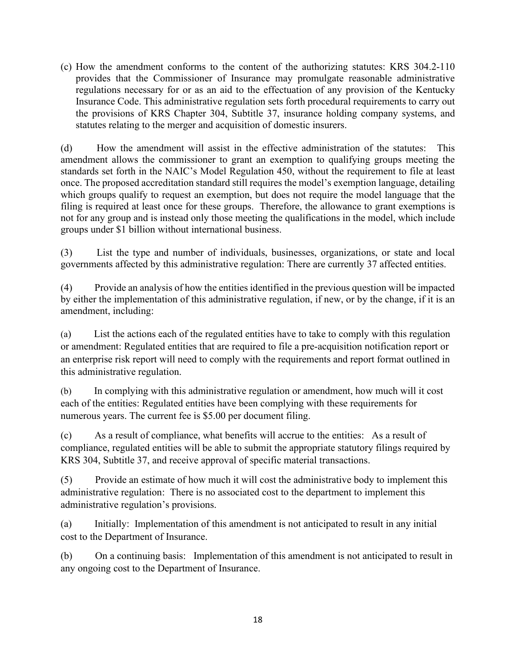(c) How the amendment conforms to the content of the authorizing statutes: KRS 304.2-110 provides that the Commissioner of Insurance may promulgate reasonable administrative regulations necessary for or as an aid to the effectuation of any provision of the Kentucky Insurance Code. This administrative regulation sets forth procedural requirements to carry out the provisions of KRS Chapter 304, Subtitle 37, insurance holding company systems, and statutes relating to the merger and acquisition of domestic insurers.

(d) How the amendment will assist in the effective administration of the statutes: This amendment allows the commissioner to grant an exemption to qualifying groups meeting the standards set forth in the NAIC's Model Regulation 450, without the requirement to file at least once. The proposed accreditation standard still requires the model's exemption language, detailing which groups qualify to request an exemption, but does not require the model language that the filing is required at least once for these groups. Therefore, the allowance to grant exemptions is not for any group and is instead only those meeting the qualifications in the model, which include groups under \$1 billion without international business.

(3) List the type and number of individuals, businesses, organizations, or state and local governments affected by this administrative regulation: There are currently 37 affected entities.

(4) Provide an analysis of how the entities identified in the previous question will be impacted by either the implementation of this administrative regulation, if new, or by the change, if it is an amendment, including:

(a) List the actions each of the regulated entities have to take to comply with this regulation or amendment: Regulated entities that are required to file a pre-acquisition notification report or an enterprise risk report will need to comply with the requirements and report format outlined in this administrative regulation.

(b) In complying with this administrative regulation or amendment, how much will it cost each of the entities: Regulated entities have been complying with these requirements for numerous years. The current fee is \$5.00 per document filing.

(c) As a result of compliance, what benefits will accrue to the entities: As a result of compliance, regulated entities will be able to submit the appropriate statutory filings required by KRS 304, Subtitle 37, and receive approval of specific material transactions.

(5) Provide an estimate of how much it will cost the administrative body to implement this administrative regulation: There is no associated cost to the department to implement this administrative regulation's provisions.

(a) Initially: Implementation of this amendment is not anticipated to result in any initial cost to the Department of Insurance.

(b) On a continuing basis: Implementation of this amendment is not anticipated to result in any ongoing cost to the Department of Insurance.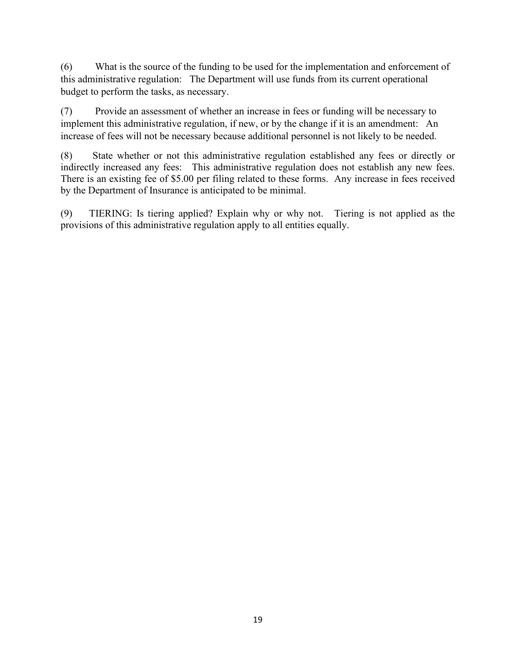(6) What is the source of the funding to be used for the implementation and enforcement of this administrative regulation: The Department will use funds from its current operational budget to perform the tasks, as necessary.

(7) Provide an assessment of whether an increase in fees or funding will be necessary to implement this administrative regulation, if new, or by the change if it is an amendment: An increase of fees will not be necessary because additional personnel is not likely to be needed.

(8) State whether or not this administrative regulation established any fees or directly or indirectly increased any fees: This administrative regulation does not establish any new fees. There is an existing fee of \$5.00 per filing related to these forms. Any increase in fees received by the Department of Insurance is anticipated to be minimal.

(9) TIERING: Is tiering applied? Explain why or why not. Tiering is not applied as the provisions of this administrative regulation apply to all entities equally.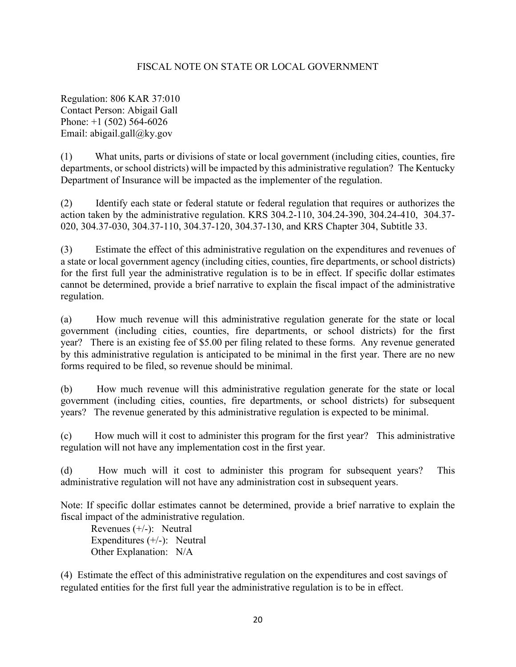## FISCAL NOTE ON STATE OR LOCAL GOVERNMENT

Regulation: 806 KAR 37:010 Contact Person: Abigail Gall Phone: +1 (502) 564-6026 Email: abigail.gall@ky.gov

(1) What units, parts or divisions of state or local government (including cities, counties, fire departments, or school districts) will be impacted by this administrative regulation? The Kentucky Department of Insurance will be impacted as the implementer of the regulation.

(2) Identify each state or federal statute or federal regulation that requires or authorizes the action taken by the administrative regulation. KRS 304.2-110, 304.24-390, 304.24-410, 304.37- 020, 304.37-030, 304.37-110, 304.37-120, 304.37-130, and KRS Chapter 304, Subtitle 33.

(3) Estimate the effect of this administrative regulation on the expenditures and revenues of a state or local government agency (including cities, counties, fire departments, or school districts) for the first full year the administrative regulation is to be in effect. If specific dollar estimates cannot be determined, provide a brief narrative to explain the fiscal impact of the administrative regulation.

(a) How much revenue will this administrative regulation generate for the state or local government (including cities, counties, fire departments, or school districts) for the first year? There is an existing fee of \$5.00 per filing related to these forms. Any revenue generated by this administrative regulation is anticipated to be minimal in the first year. There are no new forms required to be filed, so revenue should be minimal.

(b) How much revenue will this administrative regulation generate for the state or local government (including cities, counties, fire departments, or school districts) for subsequent years? The revenue generated by this administrative regulation is expected to be minimal.

(c) How much will it cost to administer this program for the first year? This administrative regulation will not have any implementation cost in the first year.

(d) How much will it cost to administer this program for subsequent years? This administrative regulation will not have any administration cost in subsequent years.

Note: If specific dollar estimates cannot be determined, provide a brief narrative to explain the fiscal impact of the administrative regulation.

Revenues (+/-): Neutral Expenditures (+/-): Neutral Other Explanation: N/A

(4) Estimate the effect of this administrative regulation on the expenditures and cost savings of regulated entities for the first full year the administrative regulation is to be in effect.